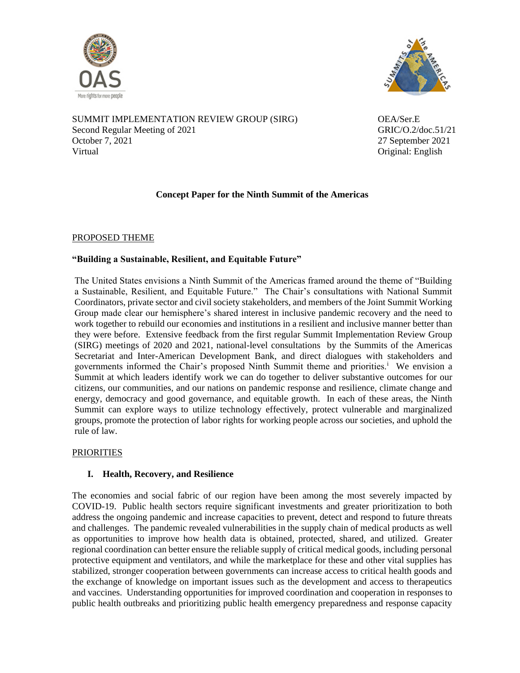



SUMMIT IMPLEMENTATION REVIEW GROUP (SIRG) OEA/Ser.E Second Regular Meeting of 2021 GRIC/O.2/doc.51/21 October 7, 2021 27 September 2021 Virtual Original: English

# **Concept Paper for the Ninth Summit of the Americas**

## PROPOSED THEME

## **"Building a Sustainable, Resilient, and Equitable Future"**

The United States envisions a Ninth Summit of the Americas framed around the theme of "Building a Sustainable, Resilient, and Equitable Future." The Chair's consultations with National Summit Coordinators, private sector and civil society stakeholders, and members of the Joint Summit Working Group made clear our hemisphere's shared interest in inclusive pandemic recovery and the need to work together to rebuild our economies and institutions in a resilient and inclusive manner better than they were before. Extensive feedback from the first regular Summit Implementation Review Group (SIRG) meetings of 2020 and 2021, national-level consultations by the Summits of the Americas Secretariat and Inter-American Development Bank, and direct dialogues with stakeholders and governments informed the Chair's proposed Ninth Summit theme and priorities.<sup>i</sup> We envision a Summit at which leaders identify work we can do together to deliver substantive outcomes for our citizens, our communities, and our nations on pandemic response and resilience, climate change and energy, democracy and good governance, and equitable growth. In each of these areas, the Ninth Summit can explore ways to utilize technology effectively, protect vulnerable and marginalized groups, promote the protection of labor rights for working people across our societies, and uphold the rule of law.

#### PRIORITIES

## **I. Health, Recovery, and Resilience**

The economies and social fabric of our region have been among the most severely impacted by COVID-19. Public health sectors require significant investments and greater prioritization to both address the ongoing pandemic and increase capacities to prevent, detect and respond to future threats and challenges. The pandemic revealed vulnerabilities in the supply chain of medical products as well as opportunities to improve how health data is obtained, protected, shared, and utilized. Greater regional coordination can better ensure the reliable supply of critical medical goods, including personal protective equipment and ventilators, and while the marketplace for these and other vital supplies has stabilized, stronger cooperation between governments can increase access to critical health goods and the exchange of knowledge on important issues such as the development and access to therapeutics and vaccines. Understanding opportunities for improved coordination and cooperation in responses to public health outbreaks and prioritizing public health emergency preparedness and response capacity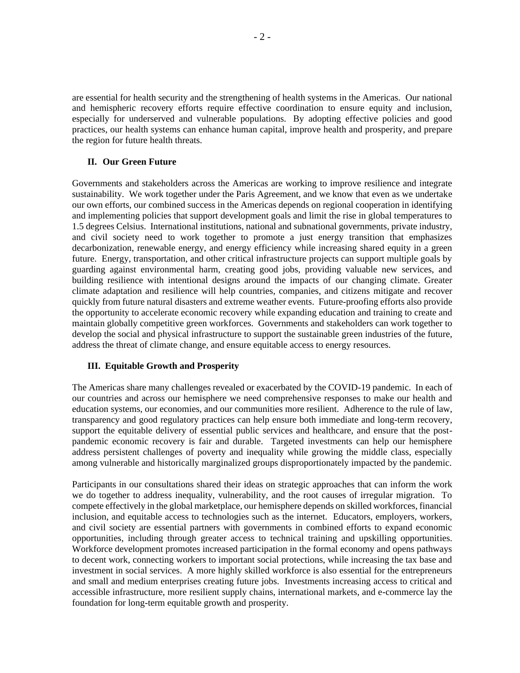are essential for health security and the strengthening of health systems in the Americas. Our national and hemispheric recovery efforts require effective coordination to ensure equity and inclusion, especially for underserved and vulnerable populations. By adopting effective policies and good practices, our health systems can enhance human capital, improve health and prosperity, and prepare the region for future health threats.

#### **II. Our Green Future**

Governments and stakeholders across the Americas are working to improve resilience and integrate sustainability. We work together under the Paris Agreement, and we know that even as we undertake our own efforts, our combined success in the Americas depends on regional cooperation in identifying and implementing policies that support development goals and limit the rise in global temperatures to 1.5 degrees Celsius. International institutions, national and subnational governments, private industry, and civil society need to work together to promote a just energy transition that emphasizes decarbonization, renewable energy, and energy efficiency while increasing shared equity in a green future. Energy, transportation, and other critical infrastructure projects can support multiple goals by guarding against environmental harm, creating good jobs, providing valuable new services, and building resilience with intentional designs around the impacts of our changing climate. Greater climate adaptation and resilience will help countries, companies, and citizens mitigate and recover quickly from future natural disasters and extreme weather events. Future-proofing efforts also provide the opportunity to accelerate economic recovery while expanding education and training to create and maintain globally competitive green workforces. Governments and stakeholders can work together to develop the social and physical infrastructure to support the sustainable green industries of the future, address the threat of climate change, and ensure equitable access to energy resources.

#### **III. Equitable Growth and Prosperity**

The Americas share many challenges revealed or exacerbated by the COVID-19 pandemic. In each of our countries and across our hemisphere we need comprehensive responses to make our health and education systems, our economies, and our communities more resilient. Adherence to the rule of law, transparency and good regulatory practices can help ensure both immediate and long-term recovery, support the equitable delivery of essential public services and healthcare, and ensure that the postpandemic economic recovery is fair and durable. Targeted investments can help our hemisphere address persistent challenges of poverty and inequality while growing the middle class, especially among vulnerable and historically marginalized groups disproportionately impacted by the pandemic.

Participants in our consultations shared their ideas on strategic approaches that can inform the work we do together to address inequality, vulnerability, and the root causes of irregular migration. To compete effectively in the global marketplace, our hemisphere depends on skilled workforces, financial inclusion, and equitable access to technologies such as the internet. Educators, employers, workers, and civil society are essential partners with governments in combined efforts to expand economic opportunities, including through greater access to technical training and upskilling opportunities. Workforce development promotes increased participation in the formal economy and opens pathways to decent work, connecting workers to important social protections, while increasing the tax base and investment in social services. A more highly skilled workforce is also essential for the entrepreneurs and small and medium enterprises creating future jobs. Investments increasing access to critical and accessible infrastructure, more resilient supply chains, international markets, and e-commerce lay the foundation for long-term equitable growth and prosperity.